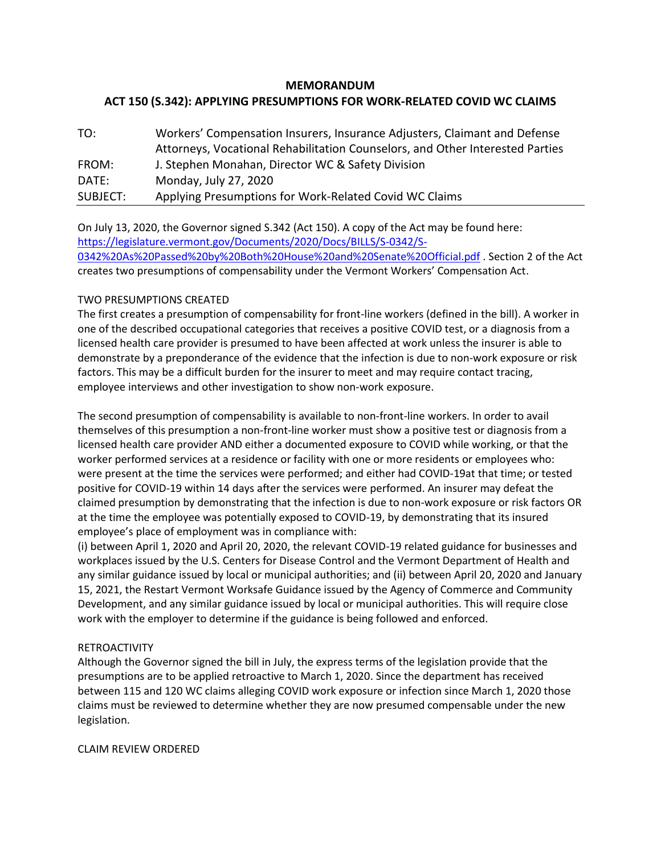## **MEMORANDUM ACT 150 (S.342): APPLYING PRESUMPTIONS FOR WORK-RELATED COVID WC CLAIMS**

| TO:      | Workers' Compensation Insurers, Insurance Adjusters, Claimant and Defense     |
|----------|-------------------------------------------------------------------------------|
|          | Attorneys, Vocational Rehabilitation Counselors, and Other Interested Parties |
| FROM:    | J. Stephen Monahan, Director WC & Safety Division                             |
| DATE:    | Monday, July 27, 2020                                                         |
| SUBJECT: | Applying Presumptions for Work-Related Covid WC Claims                        |

On July 13, 2020, the Governor signed S.342 (Act 150). A copy of the Act may be found here: [https://legislature.vermont.gov/Documents/2020/Docs/BILLS/S-0342/S-](https://legislature.vermont.gov/Documents/2020/Docs/BILLS/S-0342/S-0342%20As%20Passed%20by%20Both%20House%20and%20Senate%20Official.pdf)[0342%20As%20Passed%20by%20Both%20House%20and%20Senate%20Official.pdf](https://legislature.vermont.gov/Documents/2020/Docs/BILLS/S-0342/S-0342%20As%20Passed%20by%20Both%20House%20and%20Senate%20Official.pdf) . Section 2 of the Act creates two presumptions of compensability under the Vermont Workers' Compensation Act.

## TWO PRESUMPTIONS CREATED

The first creates a presumption of compensability for front-line workers (defined in the bill). A worker in one of the described occupational categories that receives a positive COVID test, or a diagnosis from a licensed health care provider is presumed to have been affected at work unless the insurer is able to demonstrate by a preponderance of the evidence that the infection is due to non-work exposure or risk factors. This may be a difficult burden for the insurer to meet and may require contact tracing, employee interviews and other investigation to show non-work exposure.

The second presumption of compensability is available to non-front-line workers. In order to avail themselves of this presumption a non-front-line worker must show a positive test or diagnosis from a licensed health care provider AND either a documented exposure to COVID while working, or that the worker performed services at a residence or facility with one or more residents or employees who: were present at the time the services were performed; and either had COVID-19at that time; or tested positive for COVID-19 within 14 days after the services were performed. An insurer may defeat the claimed presumption by demonstrating that the infection is due to non-work exposure or risk factors OR at the time the employee was potentially exposed to COVID-19, by demonstrating that its insured employee's place of employment was in compliance with:

(i) between April 1, 2020 and April 20, 2020, the relevant COVID-19 related guidance for businesses and workplaces issued by the U.S. Centers for Disease Control and the Vermont Department of Health and any similar guidance issued by local or municipal authorities; and (ii) between April 20, 2020 and January 15, 2021, the Restart Vermont Worksafe Guidance issued by the Agency of Commerce and Community Development, and any similar guidance issued by local or municipal authorities. This will require close work with the employer to determine if the guidance is being followed and enforced.

## RETROACTIVITY

Although the Governor signed the bill in July, the express terms of the legislation provide that the presumptions are to be applied retroactive to March 1, 2020. Since the department has received between 115 and 120 WC claims alleging COVID work exposure or infection since March 1, 2020 those claims must be reviewed to determine whether they are now presumed compensable under the new legislation.

CLAIM REVIEW ORDERED